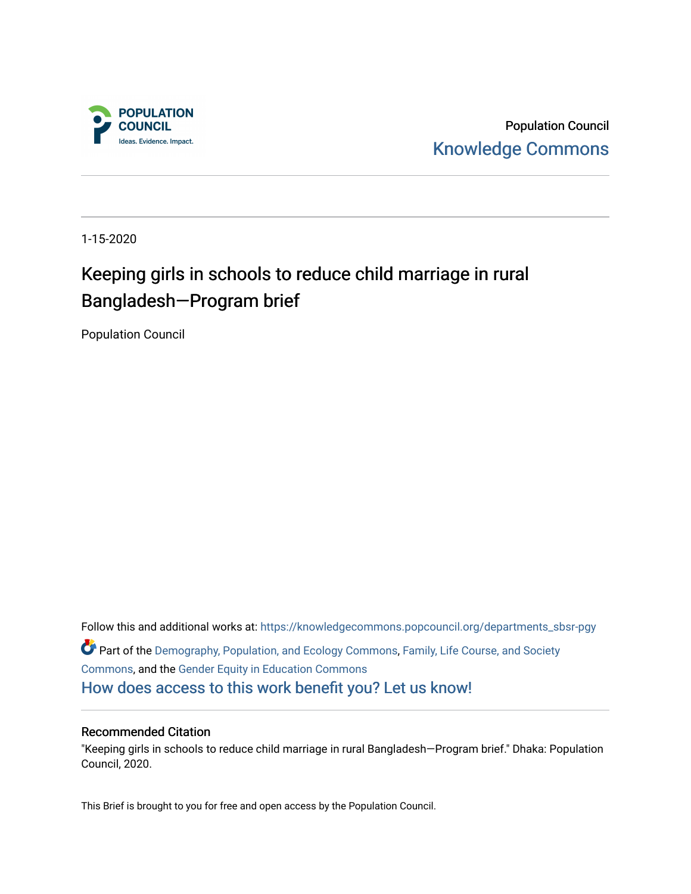

Population Council [Knowledge Commons](https://knowledgecommons.popcouncil.org/) 

1-15-2020

## Keeping girls in schools to reduce child marriage in rural Bangladesh—Program brief

Population Council

Follow this and additional works at: [https://knowledgecommons.popcouncil.org/departments\\_sbsr-pgy](https://knowledgecommons.popcouncil.org/departments_sbsr-pgy?utm_source=knowledgecommons.popcouncil.org%2Fdepartments_sbsr-pgy%2F1119&utm_medium=PDF&utm_campaign=PDFCoverPages)  Part of the [Demography, Population, and Ecology Commons,](https://network.bepress.com/hgg/discipline/418?utm_source=knowledgecommons.popcouncil.org%2Fdepartments_sbsr-pgy%2F1119&utm_medium=PDF&utm_campaign=PDFCoverPages) [Family, Life Course, and Society](https://network.bepress.com/hgg/discipline/419?utm_source=knowledgecommons.popcouncil.org%2Fdepartments_sbsr-pgy%2F1119&utm_medium=PDF&utm_campaign=PDFCoverPages)  [Commons](https://network.bepress.com/hgg/discipline/419?utm_source=knowledgecommons.popcouncil.org%2Fdepartments_sbsr-pgy%2F1119&utm_medium=PDF&utm_campaign=PDFCoverPages), and the [Gender Equity in Education Commons](https://network.bepress.com/hgg/discipline/1376?utm_source=knowledgecommons.popcouncil.org%2Fdepartments_sbsr-pgy%2F1119&utm_medium=PDF&utm_campaign=PDFCoverPages)  [How does access to this work benefit you? Let us know!](https://pcouncil.wufoo.com/forms/open-access-to-population-council-research/)

#### Recommended Citation

"Keeping girls in schools to reduce child marriage in rural Bangladesh—Program brief." Dhaka: Population Council, 2020.

This Brief is brought to you for free and open access by the Population Council.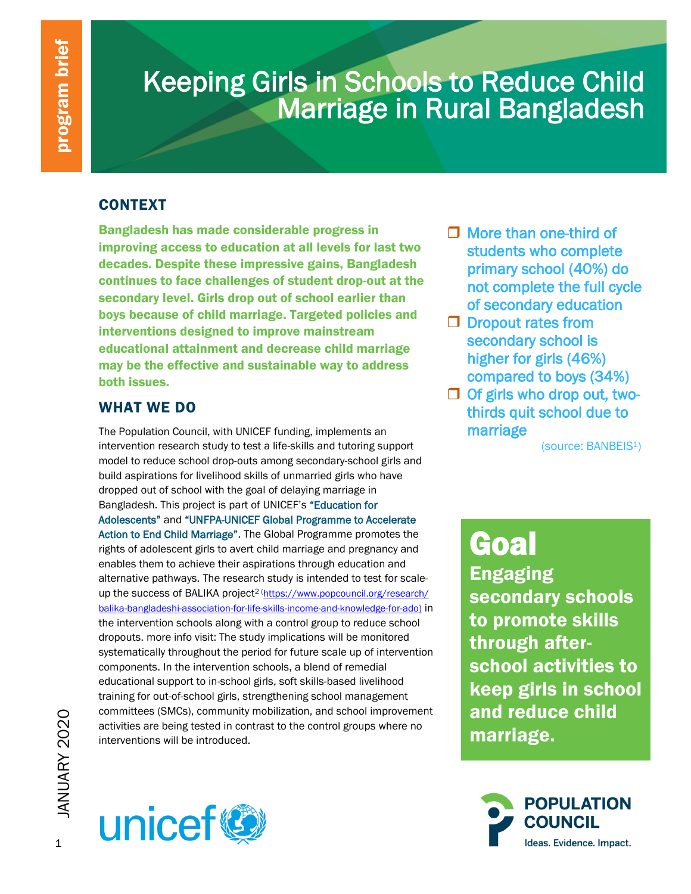# Keeping Girls in Schools to Reduce Child Marriage in Rural Bangladesh

### **CONTEXT**

Bangladesh has made considerable progress in improving access to education at all levels for last two decades. Despite these impressive gains, Bangladesh continues to face challenges of student drop-out at the secondary level. Girls drop out of school earlier than boys because of child marriage. Targeted policies and interventions designed to improve mainstream educational attainment and decrease child marriage may be the effective and sustainable way to address both issues.

### WHAT WE DO

Committees (SMCs), community mobilization, and school activities are being tested in contrast to the control grand interventions will be introduced. The Population Council, with UNICEF funding, implements an intervention research study to test a life-skills and tutoring support model to reduce school drop-outs among secondary-school girls and build aspirations for livelihood skills of unmarried girls who have dropped out of school with the goal of delaying marriage in Bangladesh. This project is part of UNICEF's "Education for Adolescents" and "UNFPA-UNICEF Global Programme to Accelerate Action to End Child Marriage". The Global Programme promotes the rights of adolescent girls to avert child marriage and pregnancy and enables them to achieve their aspirations through education and alternative pathways. The research study is intended to test for scaleup the success of BALIKA project<sup>2 (https://www.popcouncil.org/research/</sup> [balika-bangladeshi-association-for-life-skills-income-and-knowledge-for-ado\)](https://www.popcouncil.org/research/%20balika-bangladeshi-association-for-life-skills-income-and-knowledge-for-ado) in the intervention schools along with a control group to reduce school dropouts. more info visit: The study implications will be monitored systematically throughout the period for future scale up of intervention components. In the intervention schools, a blend of remedial educational support to in-school girls, soft skills-based livelihood training for out-of-school girls, strengthening school management committees (SMCs), community mobilization, and school improvement activities are being tested in contrast to the control groups where no interventions will be introduced.

- $\Box$  More than one-third of students who complete primary school (40%) do not complete the full cycle of secondary education
- D Dropout rates from secondary school is higher for girls (46%) compared to boys (34%)
- $\Box$  Of girls who drop out, twothirds quit school due to marriage

(source: BANBEIS1)

Goal Engaging secondary schools to promote skills through afterschool activities to keep girls in school and reduce child marriage.



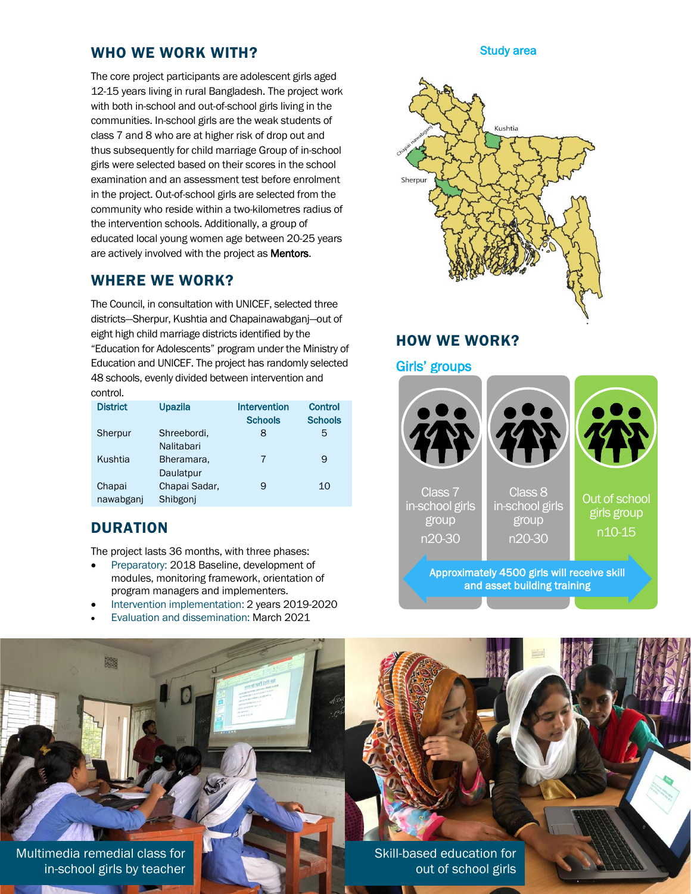### WHO WE WORK WITH?

The core project participants are adolescent girls aged 12-15 years living in rural Bangladesh. The project work with both in-school and out-of-school girls living in the communities. In-school girls are the weak students of class 7 and 8 who are at higher risk of drop out and thus subsequently for child marriage Group of in-school girls were selected based on their scores in the school examination and an assessment test before enrolment in the project. Out-of-school girls are selected from the community who reside within a two-kilometres radius of the intervention schools. Additionally, a group of educated local young women age between 20-25 years are actively involved with the project as Mentors.

### WHERE WE WORK?

The Council, in consultation with UNICEF, selected three districts—Sherpur, Kushtia and Chapainawabganj—out of eight high child marriage districts identified by the "Education for Adolescents" program under the Ministry of Education and UNICEF. The project has randomly selected 48 schools, evenly divided between intervention and control.

| <b>District</b> | <b>Upazila</b> | Intervention   | <b>Control</b> |
|-----------------|----------------|----------------|----------------|
|                 |                | <b>Schools</b> | <b>Schools</b> |
| Sherpur         | Shreebordi,    | 8              | 5              |
|                 | Nalitabari     |                |                |
| Kushtia         | Bheramara,     | 7              | 9              |
|                 | Daulatpur      |                |                |
| Chapai          | Chapai Sadar,  | 9              | 10             |
| nawabganj       | Shibgoni       |                |                |

### **DURATION**

55

The project lasts 36 months, with three phases:

- Preparatory: 2018 Baseline, development of modules, monitoring framework, orientation of program managers and implementers.
- Intervention implementation: 2 years 2019-2020
- Evaluation and dissemination: March 2021

#### Study area



### HOW WE WORK?

### Girls' groups Class 7 in-school girls group n20-30 Class 8 in-school girls group n20-30 Out of school girls group n10-15 Approximately 4500 girls will receive skill and asset building training

2 Multimedia remedial class for in-school girls by teacher

Skill-based education for out of school girls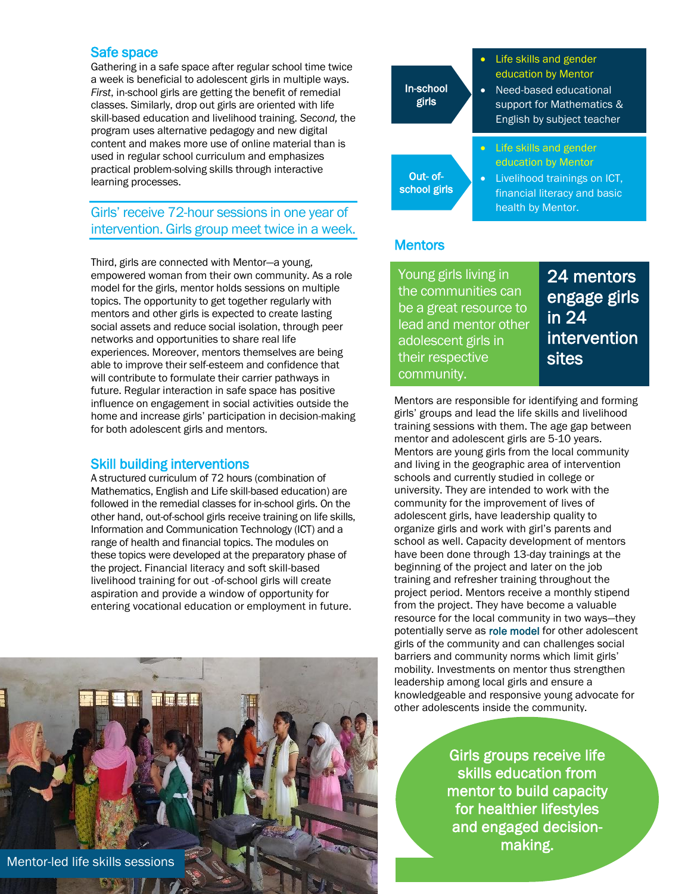### Safe space

Gathering in a safe space after regular school time twice a week is beneficial to adolescent girls in multiple ways. *First*, in-school girls are getting the benefit of remedial classes. Similarly, drop out girls are oriented with life skill-based education and livelihood training. *Second,* the program uses alternative pedagogy and new digital content and makes more use of online material than is used in regular school curriculum and emphasizes practical problem-solving skills through interactive learning processes.

### Girls' receive 72-hour sessions in one year of intervention. Girls group meet twice in a week.

Third, girls are connected with Mentor—a young, empowered woman from their own community. As a role model for the girls, mentor holds sessions on multiple topics. The opportunity to get together regularly with mentors and other girls is expected to create lasting social assets and reduce social isolation, through peer networks and opportunities to share real life experiences. Moreover, mentors themselves are being able to improve their self-esteem and confidence that will contribute to formulate their carrier pathways in future. Regular interaction in safe space has positive influence on engagement in social activities outside the home and increase girls' participation in decision-making for both adolescent girls and mentors.

### Skill building interventions

A structured curriculum of 72 hours (combination of Mathematics, English and Life skill-based education) are followed in the remedial classes for in-school girls. On the other hand, out-of-school girls receive training on life skills, Information and Communication Technology (ICT) and a range of health and financial topics. The modules on these topics were developed at the preparatory phase of the project. Financial literacy and soft skill-based livelihood training for out -of-school girls will create aspiration and provide a window of opportunity for entering vocational education or employment in future.





### **Mentors**

Young girls living in the communities can be a great resource to lead and mentor other adolescent girls in their respective community.

24 mentors engage girls in 24 intervention sites

Mentors are responsible for identifying and forming girls' groups and lead the life skills and livelihood training sessions with them. The age gap between mentor and adolescent girls are 5-10 years. Mentors are young girls from the local community and living in the geographic area of intervention schools and currently studied in college or university. They are intended to work with the community for the improvement of lives of adolescent girls, have leadership quality to organize girls and work with girl's parents and school as well. Capacity development of mentors have been done through 13-day trainings at the beginning of the project and later on the job training and refresher training throughout the project period. Mentors receive a monthly stipend from the project. They have become a valuable resource for the local community in two ways—they potentially serve as role model for other adolescent girls of the community and can challenges social barriers and community norms which limit girls' mobility. Investments on mentor thus strengthen leadership among local girls and ensure a knowledgeable and responsive young advocate for other adolescents inside the community.

> Girls groups receive life skills education from mentor to build capacity for healthier lifestyles and engaged decisionmaking.